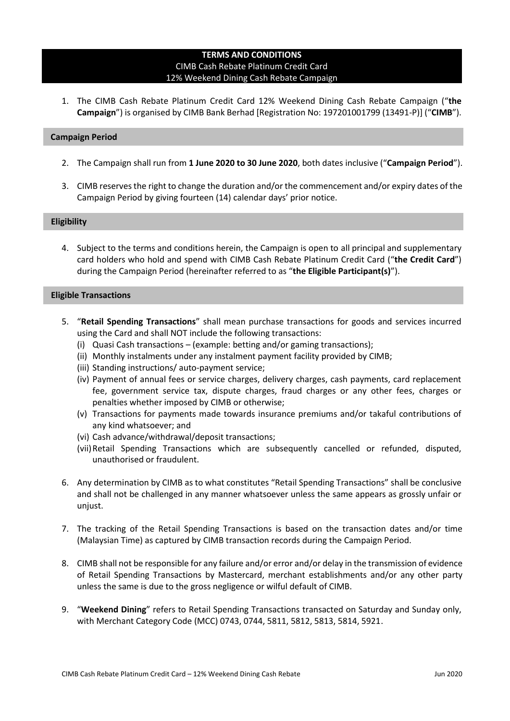# **TERMS AND CONDITIONS** CIMB Cash Rebate Platinum Credit Card 12% Weekend Dining Cash Rebate Campaign

1. The CIMB Cash Rebate Platinum Credit Card 12% Weekend Dining Cash Rebate Campaign ("**the Campaign**") is organised by CIMB Bank Berhad [Registration No: 197201001799 (13491-P)] ("**CIMB**").

## **Campaign Period**

- 2. The Campaign shall run from **1 June 2020 to 30 June 2020**, both dates inclusive ("**Campaign Period**").
- 3. CIMB reserves the right to change the duration and/or the commencement and/or expiry dates of the Campaign Period by giving fourteen (14) calendar days' prior notice.

## **Eligibility**

4. Subject to the terms and conditions herein, the Campaign is open to all principal and supplementary card holders who hold and spend with CIMB Cash Rebate Platinum Credit Card ("**the Credit Card**") during the Campaign Period (hereinafter referred to as "**the Eligible Participant(s)**").

## **Eligible Transactions**

- 5. "**Retail Spending Transactions**" shall mean purchase transactions for goods and services incurred using the Card and shall NOT include the following transactions:
	- (i) Quasi Cash transactions (example: betting and/or gaming transactions);
	- (ii) Monthly instalments under any instalment payment facility provided by CIMB;
	- (iii) Standing instructions/ auto-payment service;
	- (iv) Payment of annual fees or service charges, delivery charges, cash payments, card replacement fee, government service tax, dispute charges, fraud charges or any other fees, charges or penalties whether imposed by CIMB or otherwise;
	- (v) Transactions for payments made towards insurance premiums and/or takaful contributions of any kind whatsoever; and
	- (vi) Cash advance/withdrawal/deposit transactions;
	- (vii)Retail Spending Transactions which are subsequently cancelled or refunded, disputed, unauthorised or fraudulent.
- 6. Any determination by CIMB as to what constitutes "Retail Spending Transactions" shall be conclusive and shall not be challenged in any manner whatsoever unless the same appears as grossly unfair or unjust.
- 7. The tracking of the Retail Spending Transactions is based on the transaction dates and/or time (Malaysian Time) as captured by CIMB transaction records during the Campaign Period.
- 8. CIMB shall not be responsible for any failure and/or error and/or delay in the transmission of evidence of Retail Spending Transactions by Mastercard, merchant establishments and/or any other party unless the same is due to the gross negligence or wilful default of CIMB.
- 9. "**Weekend Dining**" refers to Retail Spending Transactions transacted on Saturday and Sunday only, with Merchant Category Code (MCC) 0743, 0744, 5811, 5812, 5813, 5814, 5921.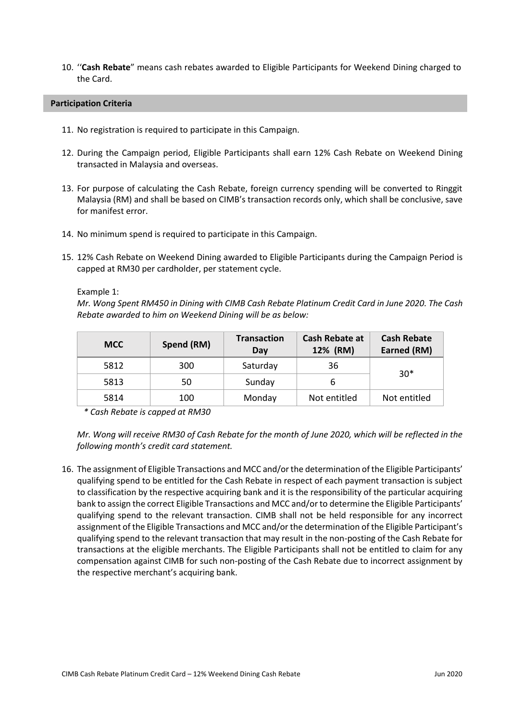10. ''**Cash Rebate**" means cash rebates awarded to Eligible Participants for Weekend Dining charged to the Card.

#### **Participation Criteria**

- 11. No registration is required to participate in this Campaign.
- 12. During the Campaign period, Eligible Participants shall earn 12% Cash Rebate on Weekend Dining transacted in Malaysia and overseas.
- 13. For purpose of calculating the Cash Rebate, foreign currency spending will be converted to Ringgit Malaysia (RM) and shall be based on CIMB's transaction records only, which shall be conclusive, save for manifest error.
- 14. No minimum spend is required to participate in this Campaign.
- 15. 12% Cash Rebate on Weekend Dining awarded to Eligible Participants during the Campaign Period is capped at RM30 per cardholder, per statement cycle.

Example 1:

*Mr. Wong Spent RM450 in Dining with CIMB Cash Rebate Platinum Credit Card in June 2020. The Cash Rebate awarded to him on Weekend Dining will be as below:*

| <b>MCC</b> | Spend (RM) | <b>Transaction</b><br>Day | Cash Rebate at<br>12% (RM) | <b>Cash Rebate</b><br>Earned (RM) |
|------------|------------|---------------------------|----------------------------|-----------------------------------|
| 5812       | 300        | Saturday                  | 36                         | $30*$                             |
| 5813       | 50         | Sunday                    |                            |                                   |
| 5814       | 100        | Monday                    | Not entitled               | Not entitled                      |

*\* Cash Rebate is capped at RM30*

*Mr. Wong will receive RM30 of Cash Rebate for the month of June 2020, which will be reflected in the following month's credit card statement.* 

16. The assignment of Eligible Transactions and MCC and/or the determination of the Eligible Participants' qualifying spend to be entitled for the Cash Rebate in respect of each payment transaction is subject to classification by the respective acquiring bank and it is the responsibility of the particular acquiring bank to assign the correct Eligible Transactions and MCC and/or to determine the Eligible Participants' qualifying spend to the relevant transaction. CIMB shall not be held responsible for any incorrect assignment of the Eligible Transactions and MCC and/or the determination of the Eligible Participant's qualifying spend to the relevant transaction that may result in the non-posting of the Cash Rebate for transactions at the eligible merchants. The Eligible Participants shall not be entitled to claim for any compensation against CIMB for such non-posting of the Cash Rebate due to incorrect assignment by the respective merchant's acquiring bank.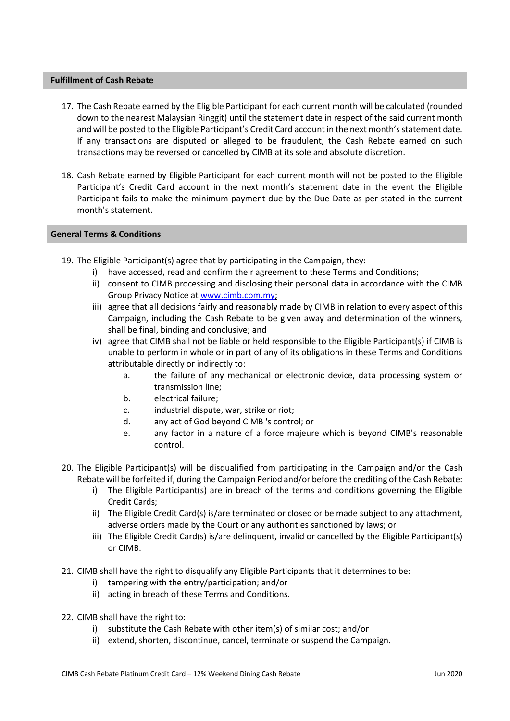## **Fulfillment of Cash Rebate**

- 17. The Cash Rebate earned by the Eligible Participant for each current month will be calculated (rounded down to the nearest Malaysian Ringgit) until the statement date in respect of the said current month and will be posted to the Eligible Participant's Credit Card account in the next month's statement date. If any transactions are disputed or alleged to be fraudulent, the Cash Rebate earned on such transactions may be reversed or cancelled by CIMB at its sole and absolute discretion.
- 18. Cash Rebate earned by Eligible Participant for each current month will not be posted to the Eligible Participant's Credit Card account in the next month's statement date in the event the Eligible Participant fails to make the minimum payment due by the Due Date as per stated in the current month's statement.

## **General Terms & Conditions**

- 19. The Eligible Participant(s) agree that by participating in the Campaign, they:
	- i) have accessed, read and confirm their agreement to these Terms and Conditions;
	- ii) consent to CIMB processing and disclosing their personal data in accordance with the CIMB Group Privacy Notice at [www.cimb.com.my;](http://www.cimb.com.my/)
	- iii) agree that all decisions fairly and reasonably made by CIMB in relation to every aspect of this Campaign, including the Cash Rebate to be given away and determination of the winners, shall be final, binding and conclusive; and
	- iv) agree that CIMB shall not be liable or held responsible to the Eligible Participant(s) if CIMB is unable to perform in whole or in part of any of its obligations in these Terms and Conditions attributable directly or indirectly to:
		- a. the failure of any mechanical or electronic device, data processing system or transmission line;
		- b. electrical failure;
		- c. industrial dispute, war, strike or riot;
		- d. any act of God beyond CIMB 's control; or
		- e. any factor in a nature of a force majeure which is beyond CIMB's reasonable control.
- 20. The Eligible Participant(s) will be disqualified from participating in the Campaign and/or the Cash Rebate will be forfeited if, during the Campaign Period and/or before the crediting of the Cash Rebate:
	- i) The Eligible Participant(s) are in breach of the terms and conditions governing the Eligible Credit Cards;
	- ii) The Eligible Credit Card(s) is/are terminated or closed or be made subject to any attachment, adverse orders made by the Court or any authorities sanctioned by laws; or
	- iii) The Eligible Credit Card(s) is/are delinquent, invalid or cancelled by the Eligible Participant(s) or CIMB.
- 21. CIMB shall have the right to disqualify any Eligible Participants that it determines to be:
	- i) tampering with the entry/participation; and/or
	- ii) acting in breach of these Terms and Conditions.
- 22. CIMB shall have the right to:
	- i) substitute the Cash Rebate with other item(s) of similar cost; and/or
	- ii) extend, shorten, discontinue, cancel, terminate or suspend the Campaign.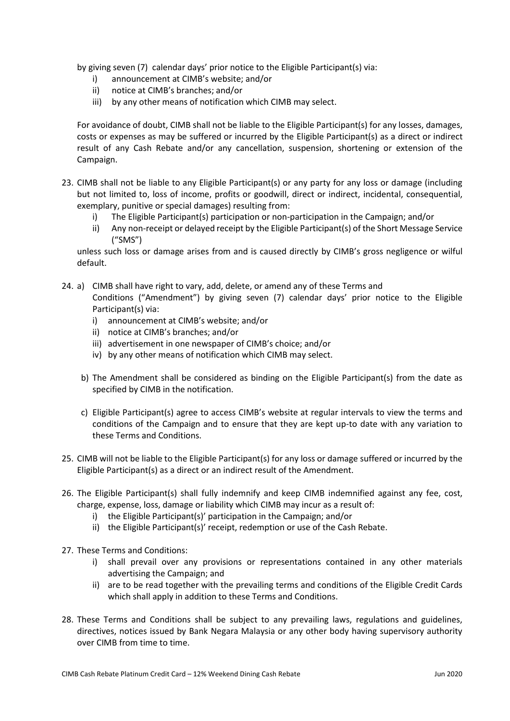by giving seven (7) calendar days' prior notice to the Eligible Participant(s) via:

- i) announcement at CIMB's website; and/or
- ii) notice at CIMB's branches; and/or
- iii) by any other means of notification which CIMB may select.

For avoidance of doubt, CIMB shall not be liable to the Eligible Participant(s) for any losses, damages, costs or expenses as may be suffered or incurred by the Eligible Participant(s) as a direct or indirect result of any Cash Rebate and/or any cancellation, suspension, shortening or extension of the Campaign.

- 23. CIMB shall not be liable to any Eligible Participant(s) or any party for any loss or damage (including but not limited to, loss of income, profits or goodwill, direct or indirect, incidental, consequential, exemplary, punitive or special damages) resulting from:
	- i) The Eligible Participant(s) participation or non-participation in the Campaign; and/or
	- ii) Any non-receipt or delayed receipt by the Eligible Participant(s) of the Short Message Service ("SMS")

unless such loss or damage arises from and is caused directly by CIMB's gross negligence or wilful default.

- 24. a) CIMB shall have right to vary, add, delete, or amend any of these Terms and Conditions ("Amendment") by giving seven (7) calendar days' prior notice to the Eligible Participant(s) via:
	- i) announcement at CIMB's website; and/or
	- ii) notice at CIMB's branches; and/or
	- iii) advertisement in one newspaper of CIMB's choice; and/or
	- iv) by any other means of notification which CIMB may select.
	- b) The Amendment shall be considered as binding on the Eligible Participant(s) from the date as specified by CIMB in the notification.
	- c) Eligible Participant(s) agree to access CIMB's website at regular intervals to view the terms and conditions of the Campaign and to ensure that they are kept up-to date with any variation to these Terms and Conditions.
- 25. CIMB will not be liable to the Eligible Participant(s) for any loss or damage suffered or incurred by the Eligible Participant(s) as a direct or an indirect result of the Amendment.
- 26. The Eligible Participant(s) shall fully indemnify and keep CIMB indemnified against any fee, cost, charge, expense, loss, damage or liability which CIMB may incur as a result of:
	- i) the Eligible Participant(s)' participation in the Campaign; and/or
	- ii) the Eligible Participant(s)' receipt, redemption or use of the Cash Rebate.
- 27. These Terms and Conditions:
	- i) shall prevail over any provisions or representations contained in any other materials advertising the Campaign; and
	- ii) are to be read together with the prevailing terms and conditions of the Eligible Credit Cards which shall apply in addition to these Terms and Conditions.
- 28. These Terms and Conditions shall be subject to any prevailing laws, regulations and guidelines, directives, notices issued by Bank Negara Malaysia or any other body having supervisory authority over CIMB from time to time.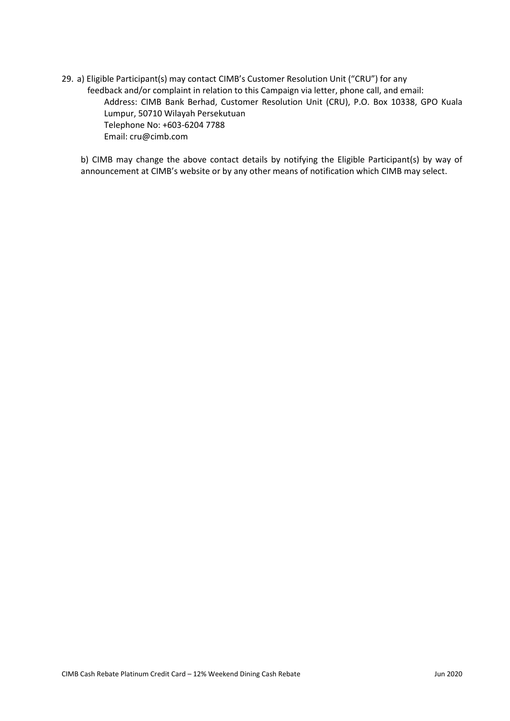29. a) Eligible Participant(s) may contact CIMB's Customer Resolution Unit ("CRU") for any feedback and/or complaint in relation to this Campaign via letter, phone call, and email: Address: CIMB Bank Berhad, Customer Resolution Unit (CRU), P.O. Box 10338, GPO Kuala Lumpur, 50710 Wilayah Persekutuan Telephone No: +603-6204 7788 Email: cru@cimb.com

b) CIMB may change the above contact details by notifying the Eligible Participant(s) by way of announcement at CIMB's website or by any other means of notification which CIMB may select.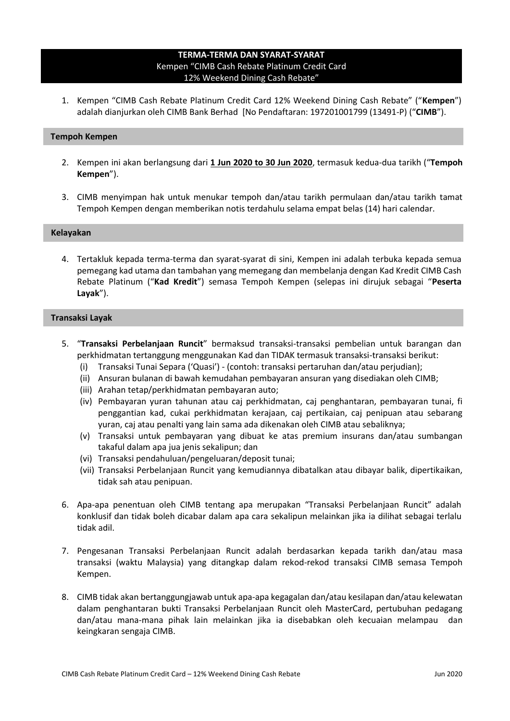# **TERMA-TERMA DAN SYARAT-SYARAT** Kempen "CIMB Cash Rebate Platinum Credit Card 12% Weekend Dining Cash Rebate"

1. Kempen "CIMB Cash Rebate Platinum Credit Card 12% Weekend Dining Cash Rebate" ("**Kempen**") adalah dianjurkan oleh CIMB Bank Berhad [No Pendaftaran: 197201001799 (13491-P) ("**CIMB**").

### **Tempoh Kempen**

- 2. Kempen ini akan berlangsung dari **1 Jun 2020 to 30 Jun 2020**, termasuk kedua-dua tarikh ("**Tempoh Kempen**").
- 3. CIMB menyimpan hak untuk menukar tempoh dan/atau tarikh permulaan dan/atau tarikh tamat Tempoh Kempen dengan memberikan notis terdahulu selama empat belas (14) hari calendar.

#### **Kelayakan**

4. Tertakluk kepada terma-terma dan syarat-syarat di sini, Kempen ini adalah terbuka kepada semua pemegang kad utama dan tambahan yang memegang dan membelanja dengan Kad Kredit CIMB Cash Rebate Platinum ("**Kad Kredit**") semasa Tempoh Kempen (selepas ini dirujuk sebagai "**Peserta Layak**").

## **Transaksi Layak**

- 5. "**Transaksi Perbelanjaan Runcit**" bermaksud transaksi-transaksi pembelian untuk barangan dan perkhidmatan tertanggung menggunakan Kad dan TIDAK termasuk transaksi-transaksi berikut:
	- (i) Transaksi Tunai Separa ('Quasi') (contoh: transaksi pertaruhan dan/atau perjudian);
	- (ii) Ansuran bulanan di bawah kemudahan pembayaran ansuran yang disediakan oleh CIMB;
	- (iii) Arahan tetap/perkhidmatan pembayaran auto;
	- (iv) Pembayaran yuran tahunan atau caj perkhidmatan, caj penghantaran, pembayaran tunai, fi penggantian kad, cukai perkhidmatan kerajaan, caj pertikaian, caj penipuan atau sebarang yuran, caj atau penalti yang lain sama ada dikenakan oleh CIMB atau sebaliknya;
	- (v) Transaksi untuk pembayaran yang dibuat ke atas premium insurans dan/atau sumbangan takaful dalam apa jua jenis sekalipun; dan
	- (vi) Transaksi pendahuluan/pengeluaran/deposit tunai;
	- (vii) Transaksi Perbelanjaan Runcit yang kemudiannya dibatalkan atau dibayar balik, dipertikaikan, tidak sah atau penipuan.
- 6. Apa-apa penentuan oleh CIMB tentang apa merupakan "Transaksi Perbelanjaan Runcit" adalah konklusif dan tidak boleh dicabar dalam apa cara sekalipun melainkan jika ia dilihat sebagai terlalu tidak adil.
- 7. Pengesanan Transaksi Perbelanjaan Runcit adalah berdasarkan kepada tarikh dan/atau masa transaksi (waktu Malaysia) yang ditangkap dalam rekod-rekod transaksi CIMB semasa Tempoh Kempen.
- 8. CIMB tidak akan bertanggungjawab untuk apa-apa kegagalan dan/atau kesilapan dan/atau kelewatan dalam penghantaran bukti Transaksi Perbelanjaan Runcit oleh MasterCard, pertubuhan pedagang dan/atau mana-mana pihak lain melainkan jika ia disebabkan oleh kecuaian melampau dan keingkaran sengaja CIMB.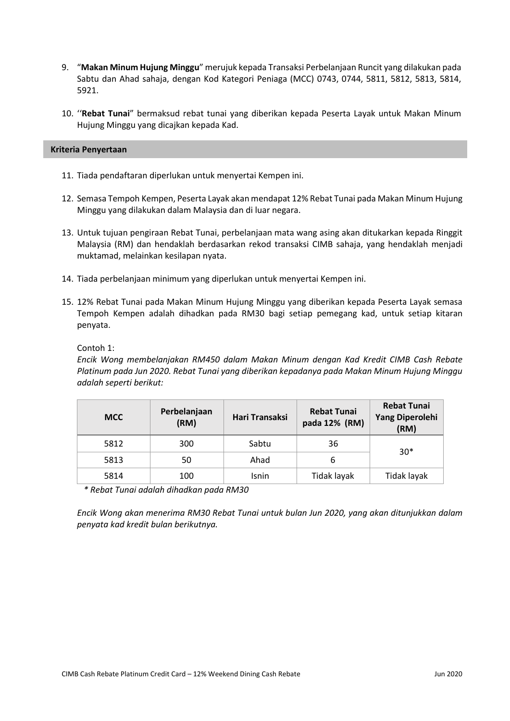- 9. "**Makan Minum Hujung Minggu**" merujuk kepada Transaksi Perbelanjaan Runcit yang dilakukan pada Sabtu dan Ahad sahaja, dengan Kod Kategori Peniaga (MCC) 0743, 0744, 5811, 5812, 5813, 5814, 5921.
- 10. ''**Rebat Tunai**" bermaksud rebat tunai yang diberikan kepada Peserta Layak untuk Makan Minum Hujung Minggu yang dicajkan kepada Kad.

### **Kriteria Penyertaan**

- 11. Tiada pendaftaran diperlukan untuk menyertai Kempen ini.
- 12. Semasa Tempoh Kempen, Peserta Layak akan mendapat 12% Rebat Tunai pada Makan Minum Hujung Minggu yang dilakukan dalam Malaysia dan di luar negara.
- 13. Untuk tujuan pengiraan Rebat Tunai, perbelanjaan mata wang asing akan ditukarkan kepada Ringgit Malaysia (RM) dan hendaklah berdasarkan rekod transaksi CIMB sahaja, yang hendaklah menjadi muktamad, melainkan kesilapan nyata.
- 14. Tiada perbelanjaan minimum yang diperlukan untuk menyertai Kempen ini.
- 15. 12% Rebat Tunai pada Makan Minum Hujung Minggu yang diberikan kepada Peserta Layak semasa Tempoh Kempen adalah dihadkan pada RM30 bagi setiap pemegang kad, untuk setiap kitaran penyata.

Contoh 1:

*Encik Wong membelanjakan RM450 dalam Makan Minum dengan Kad Kredit CIMB Cash Rebate Platinum pada Jun 2020. Rebat Tunai yang diberikan kepadanya pada Makan Minum Hujung Minggu adalah seperti berikut:*

| <b>MCC</b> | Perbelanjaan<br>(RM) | <b>Hari Transaksi</b> | <b>Rebat Tunai</b><br>pada 12% (RM) | <b>Rebat Tunai</b><br>Yang Diperolehi<br>(RM) |
|------------|----------------------|-----------------------|-------------------------------------|-----------------------------------------------|
| 5812       | 300                  | Sabtu                 | 36                                  | $30*$                                         |
| 5813       | 50                   | Ahad                  | b                                   |                                               |
| 5814       | 100                  | <b>Isnin</b>          | Tidak layak                         | Tidak layak                                   |

*\* Rebat Tunai adalah dihadkan pada RM30*

*Encik Wong akan menerima RM30 Rebat Tunai untuk bulan Jun 2020, yang akan ditunjukkan dalam penyata kad kredit bulan berikutnya.*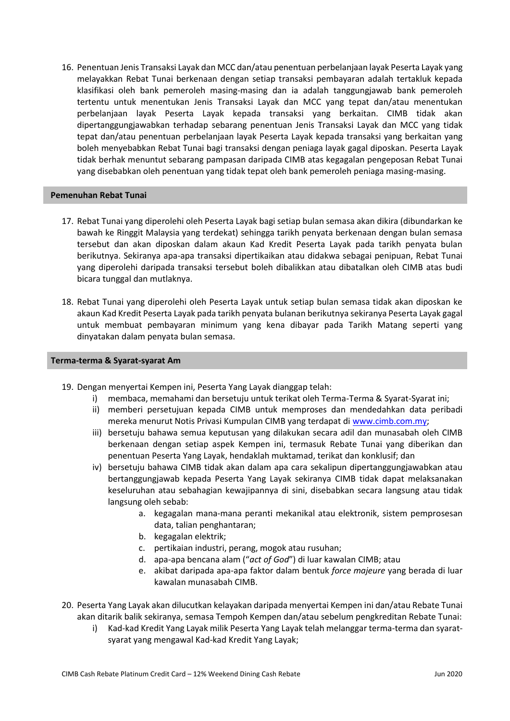16. Penentuan Jenis Transaksi Layak dan MCC dan/atau penentuan perbelanjaan layak Peserta Layak yang melayakkan Rebat Tunai berkenaan dengan setiap transaksi pembayaran adalah tertakluk kepada klasifikasi oleh bank pemeroleh masing-masing dan ia adalah tanggungjawab bank pemeroleh tertentu untuk menentukan Jenis Transaksi Layak dan MCC yang tepat dan/atau menentukan perbelanjaan layak Peserta Layak kepada transaksi yang berkaitan. CIMB tidak akan dipertanggungjawabkan terhadap sebarang penentuan Jenis Transaksi Layak dan MCC yang tidak tepat dan/atau penentuan perbelanjaan layak Peserta Layak kepada transaksi yang berkaitan yang boleh menyebabkan Rebat Tunai bagi transaksi dengan peniaga layak gagal diposkan. Peserta Layak tidak berhak menuntut sebarang pampasan daripada CIMB atas kegagalan pengeposan Rebat Tunai yang disebabkan oleh penentuan yang tidak tepat oleh bank pemeroleh peniaga masing-masing.

### **Pemenuhan Rebat Tunai**

- 17. Rebat Tunai yang diperolehi oleh Peserta Layak bagi setiap bulan semasa akan dikira (dibundarkan ke bawah ke Ringgit Malaysia yang terdekat) sehingga tarikh penyata berkenaan dengan bulan semasa tersebut dan akan diposkan dalam akaun Kad Kredit Peserta Layak pada tarikh penyata bulan berikutnya. Sekiranya apa-apa transaksi dipertikaikan atau didakwa sebagai penipuan, Rebat Tunai yang diperolehi daripada transaksi tersebut boleh dibalikkan atau dibatalkan oleh CIMB atas budi bicara tunggal dan mutlaknya.
- 18. Rebat Tunai yang diperolehi oleh Peserta Layak untuk setiap bulan semasa tidak akan diposkan ke akaun Kad Kredit Peserta Layak pada tarikh penyata bulanan berikutnya sekiranya Peserta Layak gagal untuk membuat pembayaran minimum yang kena dibayar pada Tarikh Matang seperti yang dinyatakan dalam penyata bulan semasa.

## **Terma-terma & Syarat-syarat Am**

- 19. Dengan menyertai Kempen ini, Peserta Yang Layak dianggap telah:
	- i) membaca, memahami dan bersetuju untuk terikat oleh Terma-Terma & Syarat-Syarat ini;
	- ii) memberi persetujuan kepada CIMB untuk memproses dan mendedahkan data peribadi mereka menurut Notis Privasi Kumpulan CIMB yang terdapat d[i www.cimb.com.my;](http://www.cimb.com.my/)
	- iii) bersetuju bahawa semua keputusan yang dilakukan secara adil dan munasabah oleh CIMB berkenaan dengan setiap aspek Kempen ini, termasuk Rebate Tunai yang diberikan dan penentuan Peserta Yang Layak, hendaklah muktamad, terikat dan konklusif; dan
	- iv) bersetuju bahawa CIMB tidak akan dalam apa cara sekalipun dipertanggungjawabkan atau bertanggungjawab kepada Peserta Yang Layak sekiranya CIMB tidak dapat melaksanakan keseluruhan atau sebahagian kewajipannya di sini, disebabkan secara langsung atau tidak langsung oleh sebab:
		- a. kegagalan mana-mana peranti mekanikal atau elektronik, sistem pemprosesan data, talian penghantaran;
		- b. kegagalan elektrik;
		- c. pertikaian industri, perang, mogok atau rusuhan;
		- d. apa-apa bencana alam ("*act of God*") di luar kawalan CIMB; atau
		- e. akibat daripada apa-apa faktor dalam bentuk *force majeure* yang berada di luar kawalan munasabah CIMB.
- 20. Peserta Yang Layak akan dilucutkan kelayakan daripada menyertai Kempen ini dan/atau Rebate Tunai akan ditarik balik sekiranya, semasa Tempoh Kempen dan/atau sebelum pengkreditan Rebate Tunai:
	- i) Kad-kad Kredit Yang Layak milik Peserta Yang Layak telah melanggar terma-terma dan syaratsyarat yang mengawal Kad-kad Kredit Yang Layak;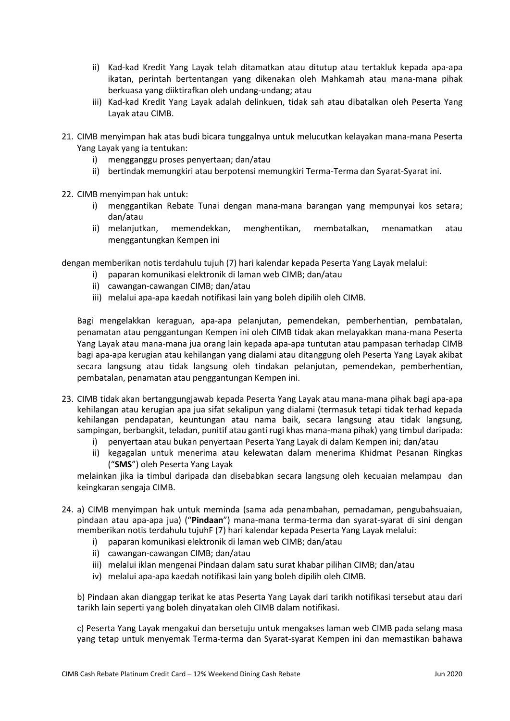- ii) Kad-kad Kredit Yang Layak telah ditamatkan atau ditutup atau tertakluk kepada apa-apa ikatan, perintah bertentangan yang dikenakan oleh Mahkamah atau mana-mana pihak berkuasa yang diiktirafkan oleh undang-undang; atau
- iii) Kad-kad Kredit Yang Layak adalah delinkuen, tidak sah atau dibatalkan oleh Peserta Yang Layak atau CIMB.
- 21. CIMB menyimpan hak atas budi bicara tunggalnya untuk melucutkan kelayakan mana-mana Peserta Yang Layak yang ia tentukan:
	- i) mengganggu proses penyertaan; dan/atau
	- ii) bertindak memungkiri atau berpotensi memungkiri Terma-Terma dan Syarat-Syarat ini.
- 22. CIMB menyimpan hak untuk:
	- i) menggantikan Rebate Tunai dengan mana-mana barangan yang mempunyai kos setara; dan/atau
	- ii) melanjutkan, memendekkan, menghentikan, membatalkan, menamatkan atau menggantungkan Kempen ini

dengan memberikan notis terdahulu tujuh (7) hari kalendar kepada Peserta Yang Layak melalui:

- i) paparan komunikasi elektronik di laman web CIMB; dan/atau
- ii) cawangan-cawangan CIMB; dan/atau
- iii) melalui apa-apa kaedah notifikasi lain yang boleh dipilih oleh CIMB.

Bagi mengelakkan keraguan, apa-apa pelanjutan, pemendekan, pemberhentian, pembatalan, penamatan atau penggantungan Kempen ini oleh CIMB tidak akan melayakkan mana-mana Peserta Yang Layak atau mana-mana jua orang lain kepada apa-apa tuntutan atau pampasan terhadap CIMB bagi apa-apa kerugian atau kehilangan yang dialami atau ditanggung oleh Peserta Yang Layak akibat secara langsung atau tidak langsung oleh tindakan pelanjutan, pemendekan, pemberhentian, pembatalan, penamatan atau penggantungan Kempen ini.

- 23. CIMB tidak akan bertanggungjawab kepada Peserta Yang Layak atau mana-mana pihak bagi apa-apa kehilangan atau kerugian apa jua sifat sekalipun yang dialami (termasuk tetapi tidak terhad kepada kehilangan pendapatan, keuntungan atau nama baik, secara langsung atau tidak langsung, sampingan, berbangkit, teladan, punitif atau ganti rugi khas mana-mana pihak) yang timbul daripada:
	- i) penyertaan atau bukan penyertaan Peserta Yang Layak di dalam Kempen ini; dan/atau
	- ii) kegagalan untuk menerima atau kelewatan dalam menerima Khidmat Pesanan Ringkas ("**SMS**") oleh Peserta Yang Layak

melainkan jika ia timbul daripada dan disebabkan secara langsung oleh kecuaian melampau dan keingkaran sengaja CIMB.

- 24. a) CIMB menyimpan hak untuk meminda (sama ada penambahan, pemadaman, pengubahsuaian, pindaan atau apa-apa jua) ("**Pindaan**") mana-mana terma-terma dan syarat-syarat di sini dengan memberikan notis terdahulu tujuhF (7) hari kalendar kepada Peserta Yang Layak melalui:
	- i) paparan komunikasi elektronik di laman web CIMB; dan/atau
	- ii) cawangan-cawangan CIMB; dan/atau
	- iii) melalui iklan mengenai Pindaan dalam satu surat khabar pilihan CIMB; dan/atau
	- iv) melalui apa-apa kaedah notifikasi lain yang boleh dipilih oleh CIMB.

b) Pindaan akan dianggap terikat ke atas Peserta Yang Layak dari tarikh notifikasi tersebut atau dari tarikh lain seperti yang boleh dinyatakan oleh CIMB dalam notifikasi.

c) Peserta Yang Layak mengakui dan bersetuju untuk mengakses laman web CIMB pada selang masa yang tetap untuk menyemak Terma-terma dan Syarat-syarat Kempen ini dan memastikan bahawa